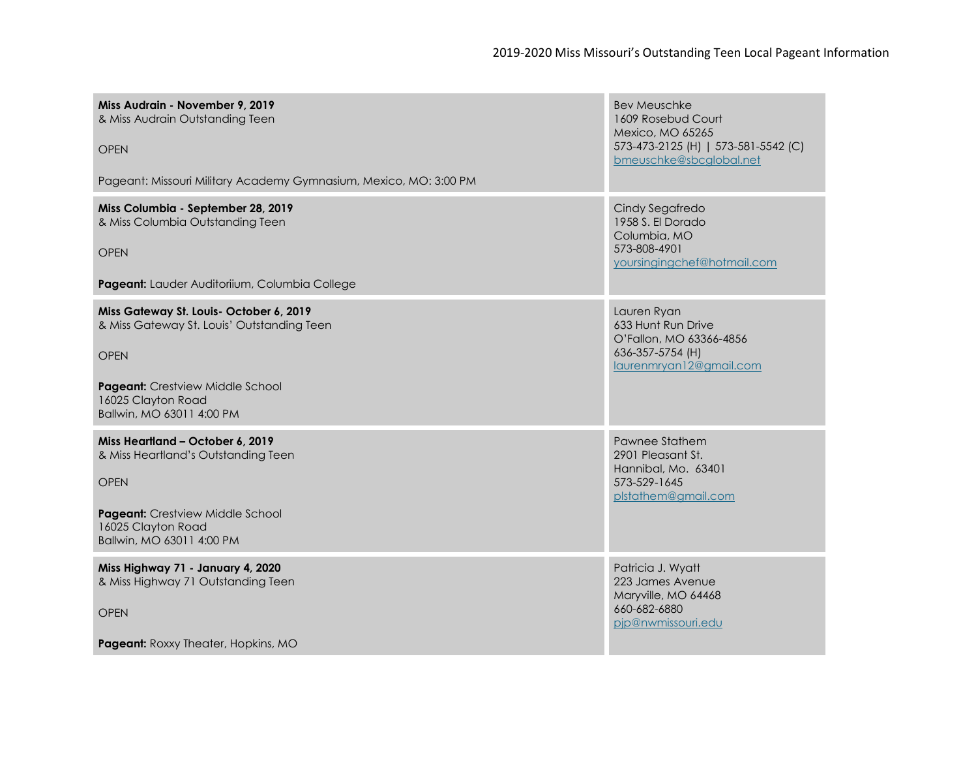| Miss Audrain - November 9, 2019<br>& Miss Audrain Outstanding Teen<br><b>OPEN</b><br>Pageant: Missouri Military Academy Gymnasium, Mexico, MO: 3:00 PM                                      | <b>Bev Meuschke</b><br>1609 Rosebud Court<br>Mexico, MO 65265<br>573-473-2125 (H)   573-581-5542 (C)<br>bmeuschke@sbcglobal.net |
|---------------------------------------------------------------------------------------------------------------------------------------------------------------------------------------------|---------------------------------------------------------------------------------------------------------------------------------|
| Miss Columbia - September 28, 2019<br>& Miss Columbia Outstanding Teen<br><b>OPEN</b><br>Pageant: Lauder Auditoriium, Columbia College                                                      | Cindy Segafredo<br>1958 S. El Dorado<br>Columbia, MO<br>573-808-4901<br>yoursingingchef@hotmail.com                             |
| Miss Gateway St. Louis- October 6, 2019<br>& Miss Gateway St. Louis' Outstanding Teen<br><b>OPEN</b><br>Pageant: Crestview Middle School<br>16025 Clayton Road<br>Ballwin, MO 63011 4:00 PM | Lauren Ryan<br>633 Hunt Run Drive<br>O'Fallon, MO 63366-4856<br>636-357-5754 (H)<br>laurenmryan12@gmail.com                     |
| Miss Heartland - October 6, 2019<br>& Miss Heartland's Outstanding Teen<br><b>OPEN</b><br>Pageant: Crestview Middle School<br>16025 Clayton Road<br>Ballwin, MO 63011 4:00 PM               | Pawnee Stathem<br>2901 Pleasant St.<br>Hannibal, Mo. 63401<br>573-529-1645<br>plstathem@gmail.com                               |
| Miss Highway 71 - January 4, 2020<br>& Miss Highway 71 Outstanding Teen<br><b>OPEN</b><br>Pageant: Roxxy Theater, Hopkins, MO                                                               | Patricia J. Wyatt<br>223 James Avenue<br>Maryville, MO 64468<br>660-682-6880<br>pip@nwmissouri.edu                              |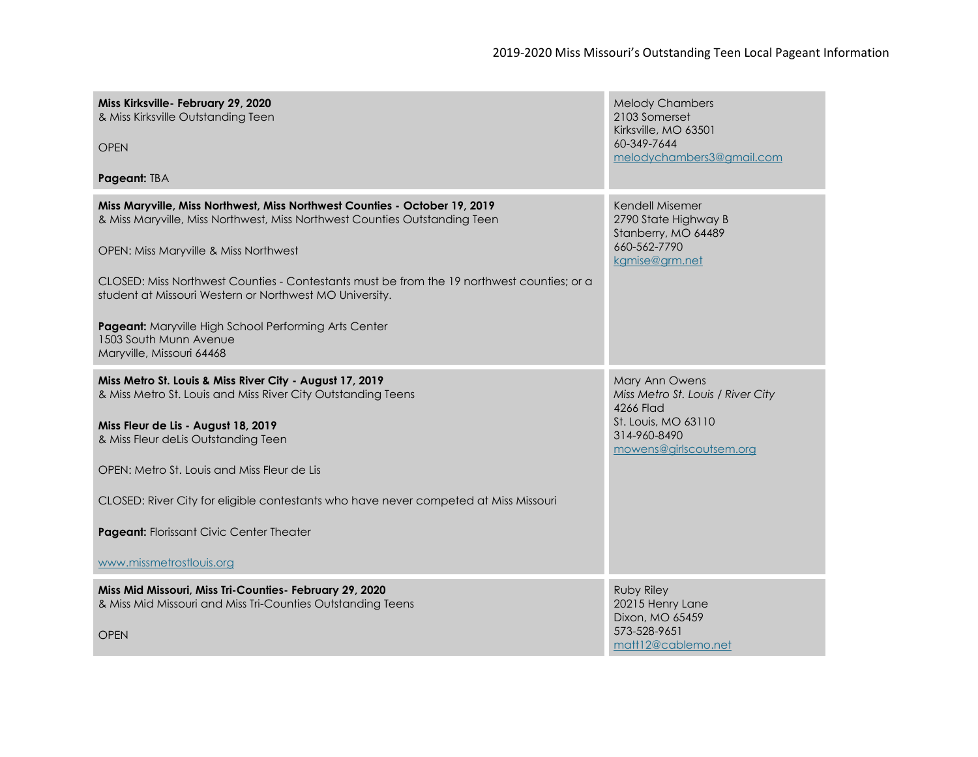| Miss Kirksville- February 29, 2020<br>& Miss Kirksville Outstanding Teen<br><b>OPEN</b>                                                                                                           | <b>Melody Chambers</b><br>2103 Somerset<br>Kirksville, MO 63501<br>60-349-7644<br>melodychambers3@gmail.com |
|---------------------------------------------------------------------------------------------------------------------------------------------------------------------------------------------------|-------------------------------------------------------------------------------------------------------------|
| Pageant: TBA                                                                                                                                                                                      |                                                                                                             |
| Miss Maryville, Miss Northwest, Miss Northwest Counties - October 19, 2019<br>& Miss Maryville, Miss Northwest, Miss Northwest Counties Outstanding Teen<br>OPEN: Miss Maryville & Miss Northwest | Kendell Misemer<br>2790 State Highway B<br>Stanberry, MO 64489<br>660-562-7790                              |
|                                                                                                                                                                                                   | kgmise@grm.net                                                                                              |
| CLOSED: Miss Northwest Counties - Contestants must be from the 19 northwest counties; or a<br>student at Missouri Western or Northwest MO University.                                             |                                                                                                             |
| Pageant: Maryville High School Performing Arts Center<br>1503 South Munn Avenue<br>Maryville, Missouri 64468                                                                                      |                                                                                                             |
| Miss Metro St. Louis & Miss River City - August 17, 2019<br>& Miss Metro St. Louis and Miss River City Outstanding Teens                                                                          | Mary Ann Owens<br>Miss Metro St. Louis / River City<br>4266 Flad                                            |
| Miss Fleur de Lis - August 18, 2019<br>& Miss Fleur deLis Outstanding Teen                                                                                                                        | St. Louis, MO 63110<br>314-960-8490<br>mowens@girlscoutsem.org                                              |
| OPEN: Metro St. Louis and Miss Fleur de Lis                                                                                                                                                       |                                                                                                             |
| CLOSED: River City for eligible contestants who have never competed at Miss Missouri                                                                                                              |                                                                                                             |
| Pageant: Florissant Civic Center Theater                                                                                                                                                          |                                                                                                             |
| www.missmetrostlouis.org                                                                                                                                                                          |                                                                                                             |
| Miss Mid Missouri, Miss Tri-Counties- February 29, 2020<br>& Miss Mid Missouri and Miss Tri-Counties Outstanding Teens<br><b>OPEN</b>                                                             | <b>Ruby Riley</b><br>20215 Henry Lane<br>Dixon, MO 65459<br>573-528-9651                                    |
|                                                                                                                                                                                                   | matt12@cablemo.net                                                                                          |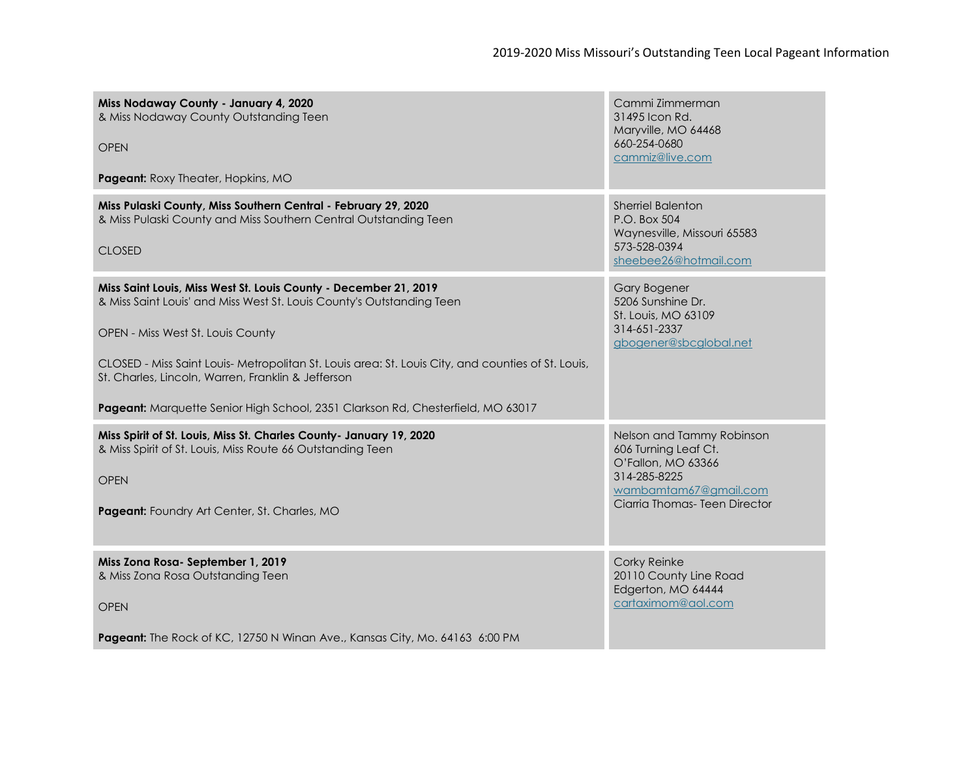| Miss Nodaway County - January 4, 2020<br>& Miss Nodaway County Outstanding Teen<br><b>OPEN</b><br>Pageant: Roxy Theater, Hopkins, MO                                                             | Cammi Zimmerman<br>31495 Icon Rd.<br>Maryville, MO 64468<br>660-254-0680<br>cammiz@live.com                                                       |
|--------------------------------------------------------------------------------------------------------------------------------------------------------------------------------------------------|---------------------------------------------------------------------------------------------------------------------------------------------------|
|                                                                                                                                                                                                  |                                                                                                                                                   |
| Miss Pulaski County, Miss Southern Central - February 29, 2020<br>& Miss Pulaski County and Miss Southern Central Outstanding Teen<br><b>CLOSED</b>                                              | <b>Sherriel Balenton</b><br>P.O. Box 504<br>Waynesville, Missouri 65583<br>573-528-0394<br>sheebee26@hotmail.com                                  |
| Miss Saint Louis, Miss West St. Louis County - December 21, 2019<br>& Miss Saint Louis' and Miss West St. Louis County's Outstanding Teen                                                        | <b>Gary Bogener</b><br>5206 Sunshine Dr.<br>St. Louis, MO 63109                                                                                   |
| OPEN - Miss West St. Louis County                                                                                                                                                                | 314-651-2337<br>gbogener@sbcglobal.net                                                                                                            |
| CLOSED - Miss Saint Louis- Metropolitan St. Louis area: St. Louis City, and counties of St. Louis,<br>St. Charles, Lincoln, Warren, Franklin & Jefferson                                         |                                                                                                                                                   |
| Pageant: Marquette Senior High School, 2351 Clarkson Rd, Chesterfield, MO 63017                                                                                                                  |                                                                                                                                                   |
| Miss Spirit of St. Louis, Miss St. Charles County- January 19, 2020<br>& Miss Spirit of St. Louis, Miss Route 66 Outstanding Teen<br><b>OPEN</b><br>Pageant: Foundry Art Center, St. Charles, MO | Nelson and Tammy Robinson<br>606 Turning Leaf Ct.<br>O'Fallon, MO 63366<br>314-285-8225<br>wambamtam67@gmail.com<br>Ciarria Thomas- Teen Director |
|                                                                                                                                                                                                  |                                                                                                                                                   |
| Miss Zona Rosa-September 1, 2019<br>& Miss Zona Rosa Outstanding Teen<br><b>OPEN</b>                                                                                                             | Corky Reinke<br>20110 County Line Road<br>Edgerton, MO 64444<br>cartaximom@aol.com                                                                |
| Pageant: The Rock of KC, 12750 N Winan Ave., Kansas City, Mo. 64163 6:00 PM                                                                                                                      |                                                                                                                                                   |